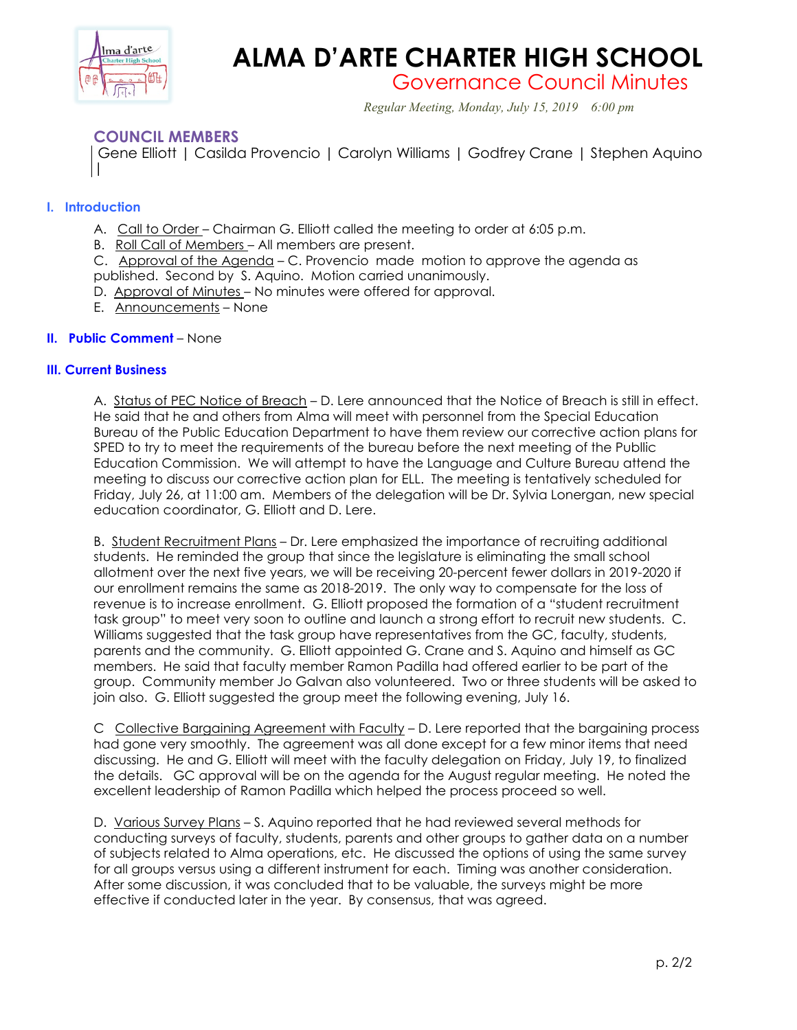

# **ALMA D'ARTE CHARTER HIGH SCHOOL**

Governance Council Minutes

*Regular Meeting, Monday, July 15, 2019 6:00 pm*

## **COUNCIL MEMBERS**

Gene Elliott | Casilda Provencio | Carolyn Williams | Godfrey Crane | Stephen Aquino |

## **I. Introduction**

- A. Call to Order Chairman G. Elliott called the meeting to order at 6:05 p.m.
- B. Roll Call of Members All members are present.

C. Approval of the Agenda – C. Provencio made motion to approve the agenda as

- published. Second by S. Aquino. Motion carried unanimously.
- D. Approval of Minutes No minutes were offered for approval.
- E. Announcements None

## **II. Public Comment** – None

### **III. Current Business**

A. Status of PEC Notice of Breach – D. Lere announced that the Notice of Breach is still in effect. He said that he and others from Alma will meet with personnel from the Special Education Bureau of the Public Education Department to have them review our corrective action plans for SPED to try to meet the requirements of the bureau before the next meeting of the Publlic Education Commission. We will attempt to have the Language and Culture Bureau attend the meeting to discuss our corrective action plan for ELL. The meeting is tentatively scheduled for Friday, July 26, at 11:00 am. Members of the delegation will be Dr. Sylvia Lonergan, new special education coordinator, G. Elliott and D. Lere.

B. Student Recruitment Plans – Dr. Lere emphasized the importance of recruiting additional students. He reminded the group that since the legislature is eliminating the small school allotment over the next five years, we will be receiving 20-percent fewer dollars in 2019-2020 if our enrollment remains the same as 2018-2019. The only way to compensate for the loss of revenue is to increase enrollment. G. Elliott proposed the formation of a "student recruitment task group" to meet very soon to outline and launch a strong effort to recruit new students. C. Williams suggested that the task group have representatives from the GC, faculty, students, parents and the community. G. Elliott appointed G. Crane and S. Aquino and himself as GC members. He said that faculty member Ramon Padilla had offered earlier to be part of the group. Community member Jo Galvan also volunteered. Two or three students will be asked to join also. G. Elliott suggested the group meet the following evening, July 16.

C Collective Bargaining Agreement with Faculty - D. Lere reported that the bargaining process had gone very smoothly. The agreement was all done except for a few minor items that need discussing. He and G. Elliott will meet with the faculty delegation on Friday, July 19, to finalized the details. GC approval will be on the agenda for the August regular meeting. He noted the excellent leadership of Ramon Padilla which helped the process proceed so well.

D. Various Survey Plans - S. Aquino reported that he had reviewed several methods for conducting surveys of faculty, students, parents and other groups to gather data on a number of subjects related to Alma operations, etc. He discussed the options of using the same survey for all groups versus using a different instrument for each. Timing was another consideration. After some discussion, it was concluded that to be valuable, the surveys might be more effective if conducted later in the year. By consensus, that was agreed.